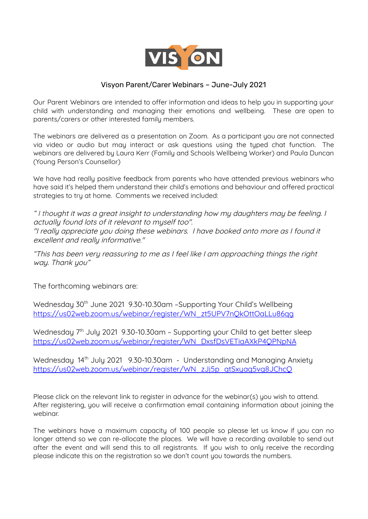

## Visyon Parent/Carer Webinars – June-July 2021

Our Parent Webinars are intended to offer information and ideas to help you in supporting your child with understanding and managing their emotions and wellbeing. These are open to parents/carers or other interested family members.

The webinars are delivered as a presentation on Zoom. As a participant you are not connected via video or audio but may interact or ask questions using the typed chat function. The webinars are delivered by Laura Kerr (Family and Schools Wellbeing Worker) and Paula Duncan (Young Person's Counsellor)

We have had really positive feedback from parents who have attended previous webinars who have said it's helped them understand their child's emotions and behaviour and offered practical strategies to try at home. Comments we received included:

" I thought it was <sup>a</sup> great insight to understanding how my daughters may be feeling. I actually found lots of it relevant to myself too". "I really appreciate you doing these webinars. I have booked onto more as I found it excellent and really informative."

"This has been very reassuring to me as I feel like I am approaching things the right way. Thank you"

The forthcoming webinars are:

Wednesday 30<sup>th</sup> June 2021 9.30-10.30am -Supporting Your Child's Wellbeing [https://us02web.zoom.us/webinar/register/WN\\_zt5UPV7nQkOttOaLLu86qg](https://us02web.zoom.us/webinar/register/WN_zt5UPV7nQkOttOaLLu86qg)

Wednesday 7<sup>th</sup> July 2021 9.30-10.30am - Supporting your Child to get better sleep [https://us02web.zoom.us/webinar/register/WN\\_DxsfDsVETiaAXkP4QPNpNA](https://us02web.zoom.us/webinar/register/WN_DxsfDsVETiaAXkP4QPNpNA)

Wednesday 14<sup>th</sup> July 2021 9.30-10.30am - Understanding and Managing Anxiety [https://us02web.zoom.us/webinar/register/WN\\_zJj5p\\_qtSxyag5vg8JChcQ](https://us02web.zoom.us/webinar/register/WN_zJj5p_qtSxyag5vg8JChcQ)

Please click on the relevant link to register in advance for the webinar(s) you wish to attend. After registering, you will receive a confirmation email containing information about joining the webinar.

The webinars have a maximum capacity of 100 people so please let us know if you can no longer attend so we can re-allocate the places. We will have a recording available to send out after the event and will send this to all registrants. If you wish to only receive the recording please indicate this on the registration so we don't count you towards the numbers.